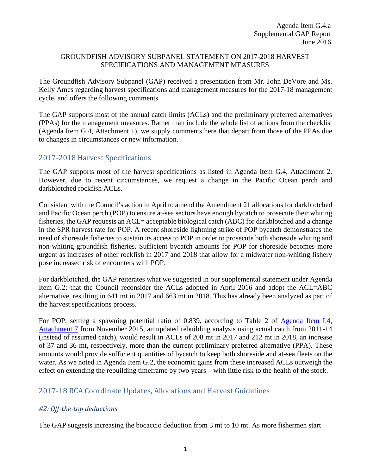#### GROUNDFISH ADVISORY SUBPANEL STATEMENT ON 2017-2018 HARVEST SPECIFICATIONS AND MANAGEMENT MEASURES

The Groundfish Advisory Subpanel (GAP) received a presentation from Mr. John DeVore and Ms. Kelly Ames regarding harvest specifications and management measures for the 2017-18 management cycle, and offers the following comments.

The GAP supports most of the annual catch limits (ACLs) and the preliminary preferred alternatives (PPAs) for the management measures. Rather than include the whole list of actions from the checklist (Agenda Item G.4, Attachment 1), we supply comments here that depart from those of the PPAs due to changes in circumstances or new information.

## 2017-2018 Harvest Specifications

The GAP supports most of the harvest specifications as listed in Agenda Item G.4, Attachment 2. However, due to recent circumstances, we request a change in the Pacific Ocean perch and darkblotched rockfish ACLs.

Consistent with the Council's action in April to amend the Amendment 21 allocations for darkblotched and Pacific Ocean perch (POP) to ensure at-sea sectors have enough bycatch to prosecute their whiting fisheries, the GAP requests an ACL= acceptable biological catch (ABC) for darkblotched and a change in the SPR harvest rate for POP. A recent shoreside lightning strike of POP bycatch demonstrates the need of shoreside fisheries to sustain its access to POP in order to prosecute both shoreside whiting and non-whiting groundfish fisheries. Sufficient bycatch amounts for POP for shoreside becomes more urgent as increases of other rockfish in 2017 and 2018 that allow for a midwater non-whiting fishery pose increased risk of encounters with POP.

For darkblotched, the GAP reiterates what we suggested in our supplemental statement under Agenda Item G.2: that the Council reconsider the ACLs adopted in April 2016 and adopt the ACL=ABC alternative, resulting in 641 mt in 2017 and 663 mt in 2018. This has already been analyzed as part of the harvest specifications process.

For POP, setting a spawning potential ratio of 0.839, according to Table 2 of [Agenda Item I.4,](http://www.pcouncil.org/wp-content/uploads/2015/10/I4_Att7_POPrebuild2015_Nov2015BB.pdf)  [Attachment 7](http://www.pcouncil.org/wp-content/uploads/2015/10/I4_Att7_POPrebuild2015_Nov2015BB.pdf) from November 2015, an updated rebuilding analysis using actual catch from 2011-14 (instead of assumed catch), would result in ACLs of 208 mt in 2017 and 212 mt in 2018, an increase of 37 and 36 mt, respectively, more than the current preliminary preferred alternative (PPA). These amounts would provide sufficient quantities of bycatch to keep both shoreside and at-sea fleets on the water. As we noted in Agenda Item G.2, the economic gains from these increased ACLs outweigh the effect on extending the rebuilding timeframe by two years – with little risk to the health of the stock.

## 2017-18 RCA Coordinate Updates, Allocations and Harvest Guidelines

### *#2: Off-the-top deductions*

The GAP suggests increasing the bocaccio deduction from 3 mt to 10 mt. As more fishermen start